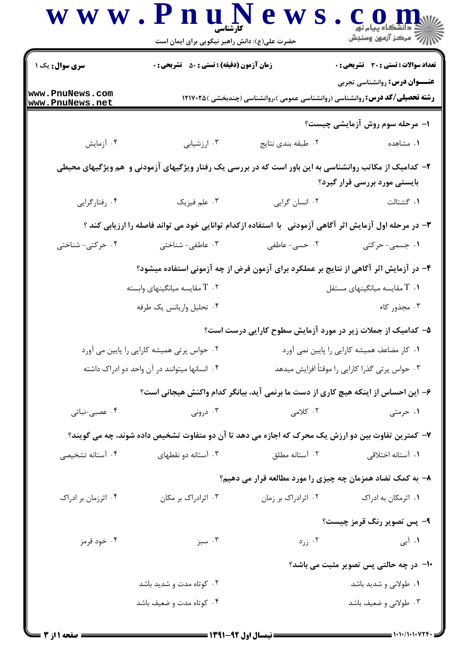| <i>إلاً</i> مركز آزمون وسنجش                    |                                                                                      | حضرت علی(ع): دانش راهبر نیکویی برای ایمان است                                                           |                                               |  |  |
|-------------------------------------------------|--------------------------------------------------------------------------------------|---------------------------------------------------------------------------------------------------------|-----------------------------------------------|--|--|
| <b>تعداد سوالات : تستی : 30 ٪ تشریحی : 0</b>    |                                                                                      | <b>زمان آزمون (دقیقه) : تستی : 50 ٪ تشریحی : 0</b>                                                      | سری سوال: یک ۱                                |  |  |
| <b>عنـــوان درس:</b> روانشناسی تجربی            | <b>رشته تحصیلی/کد درس: ر</b> وانشناسی (روانشناسی عمومی )،روانشناسی (چندبخشی )۱۲۱۷۰۲۵ |                                                                                                         | www.PnuNews.com<br>www.PnuNews.net            |  |  |
| ۱- مرحله سوم روش آزمایشی چیست؟                  |                                                                                      |                                                                                                         |                                               |  |  |
| ۰۱ مشاهده                                       | ۰۲ طبقه بندی نتایج                                                                   | ۰۳ ارزشیابی                                                                                             | ۰۴ آزمایش                                     |  |  |
| بایستی مورد بررسی قرار گیرد؟                    |                                                                                      | ۲- کدامیک از مکاتب روانشناسی به این باور است که در بررسی یک رفتار ویژگیهای آزمودنی و  هم ویژگیهای محیطی |                                               |  |  |
| ٠١. گشتالت                                      | ٠٢ انسان گرايي                                                                       | ۰۳ علم فیزیک                                                                                            | ۰۴ رفتارگرایی                                 |  |  |
|                                                 |                                                                                      | ۳- در مرحله اول آزمایش اثر آگاهی آزمودنی ۲با استفاده ازکدام توانایی خود می تواند فاصله را ارزیابی کند ؟ |                                               |  |  |
| ۱. جسمی- حرکتی                                  | ۰۲ حسی- عاطفی                                                                        | ۰۳ عاطفی- شناختی                                                                                        | ۰۴ حرکتی- شناختی                              |  |  |
|                                                 |                                                                                      | ۴– در آزمایش اثر آگاهی از نتایج بر عملکرد برای آزمون فرض از چه آزمونی استفاده میشود؟                    |                                               |  |  |
| مقایسه میانگینهای مستقل T $\,$ . 1              |                                                                                      | سقایسه میانگینهای وابسته T $\,$ . ۲                                                                     |                                               |  |  |
| ۰۳ مجذور کاء                                    |                                                                                      | ۰۴ تحلیل واریانس یک طرفه                                                                                |                                               |  |  |
|                                                 | ۵– کدامیک از جملات زیر در مورد آزمایش سطوح کارایی درست است؟                          |                                                                                                         |                                               |  |  |
| ۰۱ کار مضاعف همیشه کارایی را پایین نمی آورد     |                                                                                      | ۰۲ حواس پرتی همیشه کارایی را پایین می آورد                                                              |                                               |  |  |
| ۰۳ حواس پرتی گذرا کارایی را موقتاً افزایش میدهد |                                                                                      |                                                                                                         | ۰۴ انسانها میتوانند در آن واحد دو ادراک داشته |  |  |
|                                                 | ۶– این احساس از اینکه هیچ کاری از دست ما برنمی آید، بیانگر کدام واکنش هیجانی است؟    |                                                                                                         |                                               |  |  |
| ۰۱ حرمتی                                        | ۰۲ کلامی                                                                             | ۰۳ درونی                                                                                                | ۰۴ عصبی-نباتی                                 |  |  |
|                                                 |                                                                                      | ۷– کمترین تفاوت بین دو ارزش یک محرک که اجازه می دهد تا آن دو متفاوت تشخیص داده شوند، چه می گویند؟       |                                               |  |  |
| ۰۱ آستانه اختلاقی                               | ۰۲ آستانه مطلق                                                                       | ۰۳ آستانه دو نقطهای                                                                                     | ۰۴ آستانه تشخیصی                              |  |  |
|                                                 | ۸– به کمک تضاد همزمان چه چیزی را مورد مطالعه قرار می دهیم؟                           |                                                                                                         |                                               |  |  |
| ۰۱ اثرمکان به ادراک                             | ۰۲ اثرادراک بر زمان                                                                  | ۰۳ اثرادراک بر مکان                                                                                     | ۰۴ اثرزمان بر ادراک                           |  |  |
| ۹- پس تصویر رنگ قرمز چیست؟                      |                                                                                      |                                                                                                         |                                               |  |  |
| ۰۱ آبی                                          | ۰۲ زرد                                                                               | ۰۳ سبز                                                                                                  | ۰۴ خود قرمز                                   |  |  |
| <b>۱۰</b> - در چه حالتی پس تصویر مثبت می باشد؟  |                                                                                      |                                                                                                         |                                               |  |  |
| ۰۱ طولانی و شدید باشد                           |                                                                                      | ۰۲ کوتاه مدت و شدید باشد                                                                                |                                               |  |  |
|                                                 |                                                                                      | ۰۴ کوتاه مدت و ضعیف باشد                                                                                |                                               |  |  |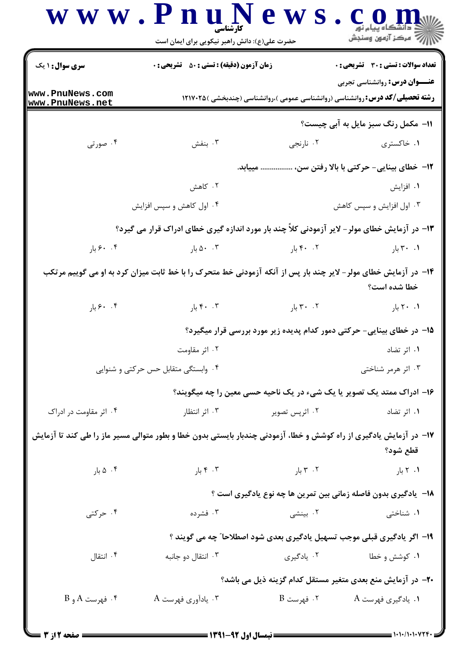|                                    | حضرت علی(ع): دانش راهبر نیکویی برای ایمان است                                                                      |                                   | ڪ دانشڪاه پيام نور<br>  /> مرکز آزمون وسنڊش                                                                                  |
|------------------------------------|--------------------------------------------------------------------------------------------------------------------|-----------------------------------|------------------------------------------------------------------------------------------------------------------------------|
| <b>سری سوال : ۱ یک</b>             | <b>زمان آزمون (دقیقه) : تستی : 50 ٪ تشریحی : 0</b>                                                                 |                                   | تعداد سوالات : تستي : 30 ٪ تشريحي : 0                                                                                        |
| www.PnuNews.com<br>www.PnuNews.net |                                                                                                                    |                                   | <b>عنـــوان درس:</b> روانشناسی تجربی<br><b>رشته تحصیلی/کد درس: روانشناسی (روانشناسی عمومی )،روانشناسی (چندبخشی )۱۲۱۷۰۲۵ </b> |
|                                    |                                                                                                                    |                                   | 11- مکمل رنگ سبز مایل به آبی چیست؟                                                                                           |
| ۰۴ صورتی                           | ۰۳ بنفش                                                                                                            | ۰۲ نارنجي                         | ۰۱ خاکستری                                                                                                                   |
|                                    |                                                                                                                    |                                   | 1۲- خطای بینایی- حرکتی با بالا رفتن سن،  مییابد.                                                                             |
|                                    | ۰۲ کاهش                                                                                                            |                                   | ۰۱ افزایش                                                                                                                    |
|                                    | ۰۴ اول کاهش و سپس افزایش                                                                                           |                                   | ۰۳ اول افزایش و سپس کاهش                                                                                                     |
|                                    | ۱۳- در آزمایش خطای مولر - لایر آزمودنی کلاً چند بار مورد اندازه گیری خطای ادراک قرار می گیرد؟                      |                                   |                                                                                                                              |
| ۰. ۶۰ بار                          | ۰ . $\lambda \cdot \lambda$ بار $\lambda \cdot \lambda$                                                            | ۴۰ .۲ بار                         | ۰۱ ۳۰ بار                                                                                                                    |
|                                    | ۱۴- در آزمایش خطای مولر- لایر چند بار پس از آنکه آزمودنی خط متحرک را با خط ثابت میزان کرد به او می گوییم مرتکب     |                                   | خطا شده است؟                                                                                                                 |
| $9.35$ بار                         | ۴۰ ۰۳ بار $\mathsf{F}\cdot\mathsf{R}$                                                                              | ۲۰ ۲۰ بار                         | ۰۱ ۲۰ بار                                                                                                                    |
|                                    |                                                                                                                    |                                   | ۱۵– در خطای بینایی- حرکتی دمور کدام پدیده زیر مورد بررسی قرار میگیرد؟                                                        |
|                                    | ۰۲ اثر مقاومت                                                                                                      |                                   | ۰۱ اثر تضاد                                                                                                                  |
|                                    | ۰۴ وابستگی متقابل حس حرکتی و شنوایی                                                                                |                                   | ۰۳ اثر هرمر شناختی                                                                                                           |
|                                    |                                                                                                                    |                                   | ۱۶- ادراک ممتد یک تصویر یا یک شیء در یک ناحیه حسی معین را چه میگویند؟                                                        |
| ۰۴ اثر مقاومت در ادراک             | ۰۳ اثر انتظار                                                                                                      | ۰۲ اثرپس تصویر                    | ۰۱ اثر تضاد                                                                                                                  |
|                                    | ۱۷– در آزمایش یادگیری از راه کوشش و خطا، آزمودنی چندبار بایستی بدون خطا و بطور متوالی مسیر ماز را طی کند تا آزمایش |                                   | قطع شود؟                                                                                                                     |
| ۰۴ ۵ بار                           | ۰۳ ۴ بار                                                                                                           | $\mathcal{F}$ . $\mathcal{T}$ بار | ۰۱ ۲ بار                                                                                                                     |
|                                    |                                                                                                                    |                                   | <b>۱۸</b> - یادگیری بدون فاصله زمانی بین تمرین ها چه نوع یادگیری است ؟                                                       |
| ۰۴ حرکتی                           | ۰۳ فشرده                                                                                                           | ۰۲ بینشی                          | ۰۱ شناختی                                                                                                                    |
|                                    | ۱۹- اگر یادگیری قبلی موجب تسهیل یادگیری بعدی شود اصطلاحا" چه می گویند ؟                                            |                                   |                                                                                                                              |
| ۰۴ انتقال                          | ۰۳ انتقال دو جانبه                                                                                                 | ۰۲ يادگيري                        | ۰۱ کوشش و خطا                                                                                                                |
|                                    |                                                                                                                    |                                   | ۲۰– در آزمایش منع بعدی متغیر مستقل کدام گزینه ذیل می باشد؟                                                                   |
| ۰۴ فهرست A و B                     | ۰۳ يادآوري فهرست A                                                                                                 | ۲. فهرست B                        | ۰۱ يادگيري فهرست A                                                                                                           |